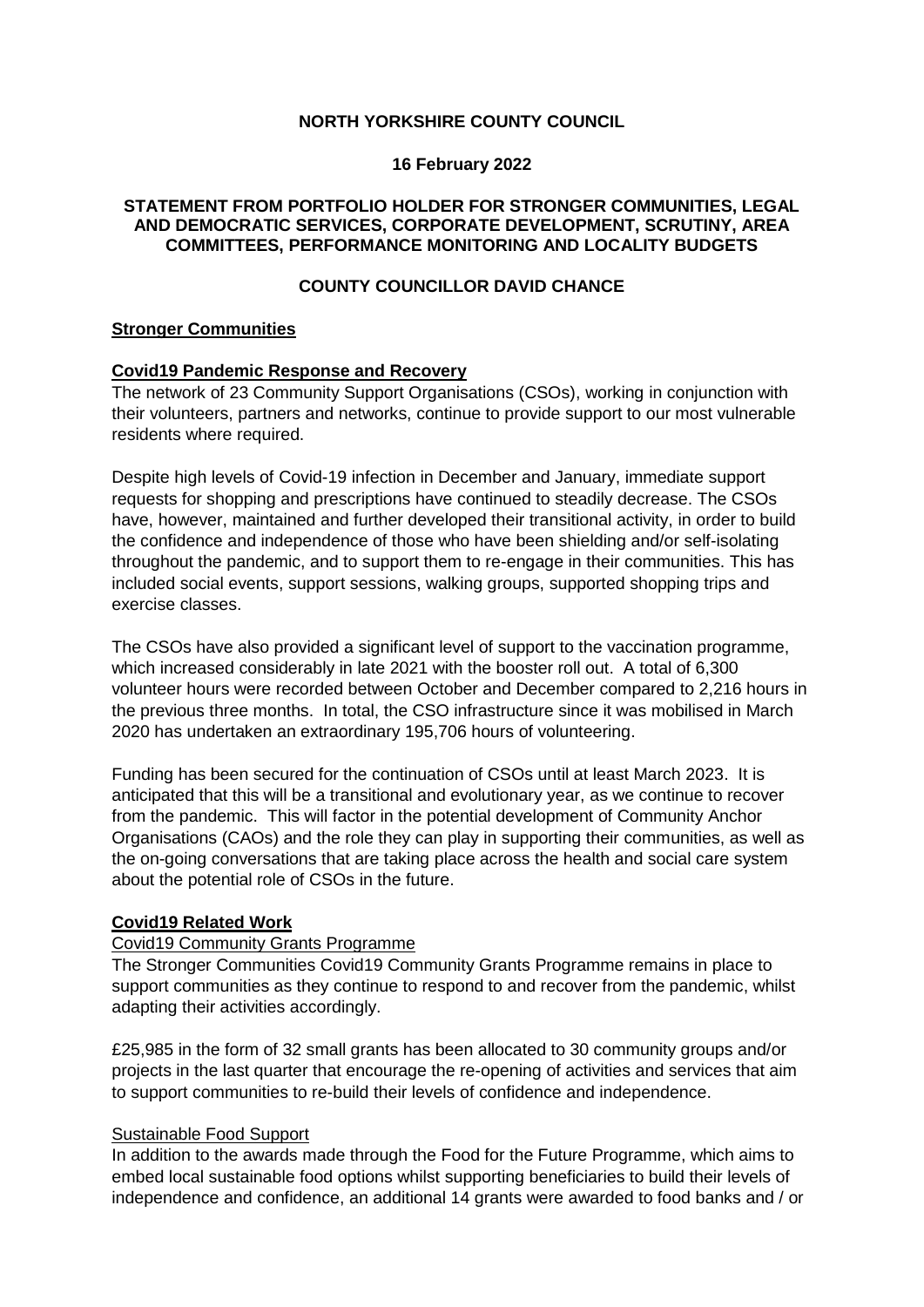# **NORTH YORKSHIRE COUNTY COUNCIL**

#### **16 February 2022**

### **STATEMENT FROM PORTFOLIO HOLDER FOR STRONGER COMMUNITIES, LEGAL AND DEMOCRATIC SERVICES, CORPORATE DEVELOPMENT, SCRUTINY, AREA COMMITTEES, PERFORMANCE MONITORING AND LOCALITY BUDGETS**

# **COUNTY COUNCILLOR DAVID CHANCE**

#### **Stronger Communities**

#### **Covid19 Pandemic Response and Recovery**

The network of 23 Community Support Organisations (CSOs), working in conjunction with their volunteers, partners and networks, continue to provide support to our most vulnerable residents where required.

Despite high levels of Covid-19 infection in December and January, immediate support requests for shopping and prescriptions have continued to steadily decrease. The CSOs have, however, maintained and further developed their transitional activity, in order to build the confidence and independence of those who have been shielding and/or self-isolating throughout the pandemic, and to support them to re-engage in their communities. This has included social events, support sessions, walking groups, supported shopping trips and exercise classes.

The CSOs have also provided a significant level of support to the vaccination programme, which increased considerably in late 2021 with the booster roll out. A total of 6,300 volunteer hours were recorded between October and December compared to 2,216 hours in the previous three months. In total, the CSO infrastructure since it was mobilised in March 2020 has undertaken an extraordinary 195,706 hours of volunteering.

Funding has been secured for the continuation of CSOs until at least March 2023. It is anticipated that this will be a transitional and evolutionary year, as we continue to recover from the pandemic. This will factor in the potential development of Community Anchor Organisations (CAOs) and the role they can play in supporting their communities, as well as the on-going conversations that are taking place across the health and social care system about the potential role of CSOs in the future.

### **Covid19 Related Work**

# Covid19 Community Grants Programme

The Stronger Communities Covid19 Community Grants Programme remains in place to support communities as they continue to respond to and recover from the pandemic, whilst adapting their activities accordingly.

£25,985 in the form of 32 small grants has been allocated to 30 community groups and/or projects in the last quarter that encourage the re-opening of activities and services that aim to support communities to re-build their levels of confidence and independence.

#### Sustainable Food Support

In addition to the awards made through the Food for the Future Programme, which aims to embed local sustainable food options whilst supporting beneficiaries to build their levels of independence and confidence, an additional 14 grants were awarded to food banks and / or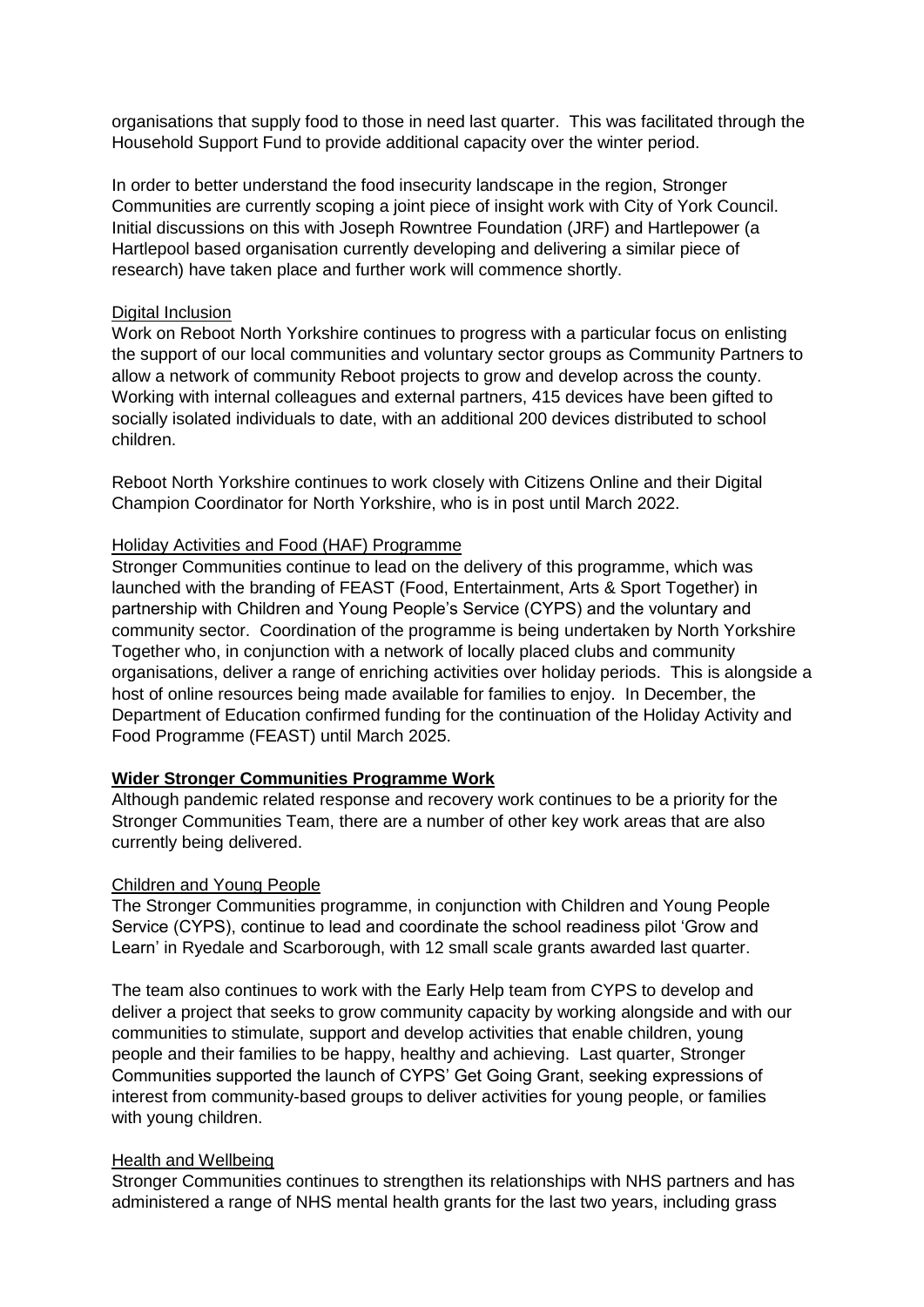organisations that supply food to those in need last quarter. This was facilitated through the Household Support Fund to provide additional capacity over the winter period.

In order to better understand the food insecurity landscape in the region, Stronger Communities are currently scoping a joint piece of insight work with City of York Council. Initial discussions on this with Joseph Rowntree Foundation (JRF) and Hartlepower (a Hartlepool based organisation currently developing and delivering a similar piece of research) have taken place and further work will commence shortly.

#### Digital Inclusion

Work on Reboot North Yorkshire continues to progress with a particular focus on enlisting the support of our local communities and voluntary sector groups as Community Partners to allow a network of community Reboot projects to grow and develop across the county. Working with internal colleagues and external partners, 415 devices have been gifted to socially isolated individuals to date, with an additional 200 devices distributed to school children.

Reboot North Yorkshire continues to work closely with Citizens Online and their Digital Champion Coordinator for North Yorkshire, who is in post until March 2022.

#### Holiday Activities and Food (HAF) Programme

Stronger Communities continue to lead on the delivery of this programme, which was launched with the branding of FEAST (Food, Entertainment, Arts & Sport Together) in partnership with Children and Young People's Service (CYPS) and the voluntary and community sector. Coordination of the programme is being undertaken by North Yorkshire Together who, in conjunction with a network of locally placed clubs and community organisations, deliver a range of enriching activities over holiday periods. This is alongside a host of online resources being made available for families to enjoy. In December, the Department of Education confirmed funding for the continuation of the Holiday Activity and Food Programme (FEAST) until March 2025.

### **Wider Stronger Communities Programme Work**

Although pandemic related response and recovery work continues to be a priority for the Stronger Communities Team, there are a number of other key work areas that are also currently being delivered.

### Children and Young People

The Stronger Communities programme, in conjunction with Children and Young People Service (CYPS), continue to lead and coordinate the school readiness pilot 'Grow and Learn' in Ryedale and Scarborough, with 12 small scale grants awarded last quarter.

The team also continues to work with the Early Help team from CYPS to develop and deliver a project that seeks to grow community capacity by working alongside and with our communities to stimulate, support and develop activities that enable children, young people and their families to be happy, healthy and achieving. Last quarter, Stronger Communities supported the launch of CYPS' Get Going Grant, seeking expressions of interest from community-based groups to deliver activities for young people, or families with young children.

#### Health and Wellbeing

Stronger Communities continues to strengthen its relationships with NHS partners and has administered a range of NHS mental health grants for the last two years, including grass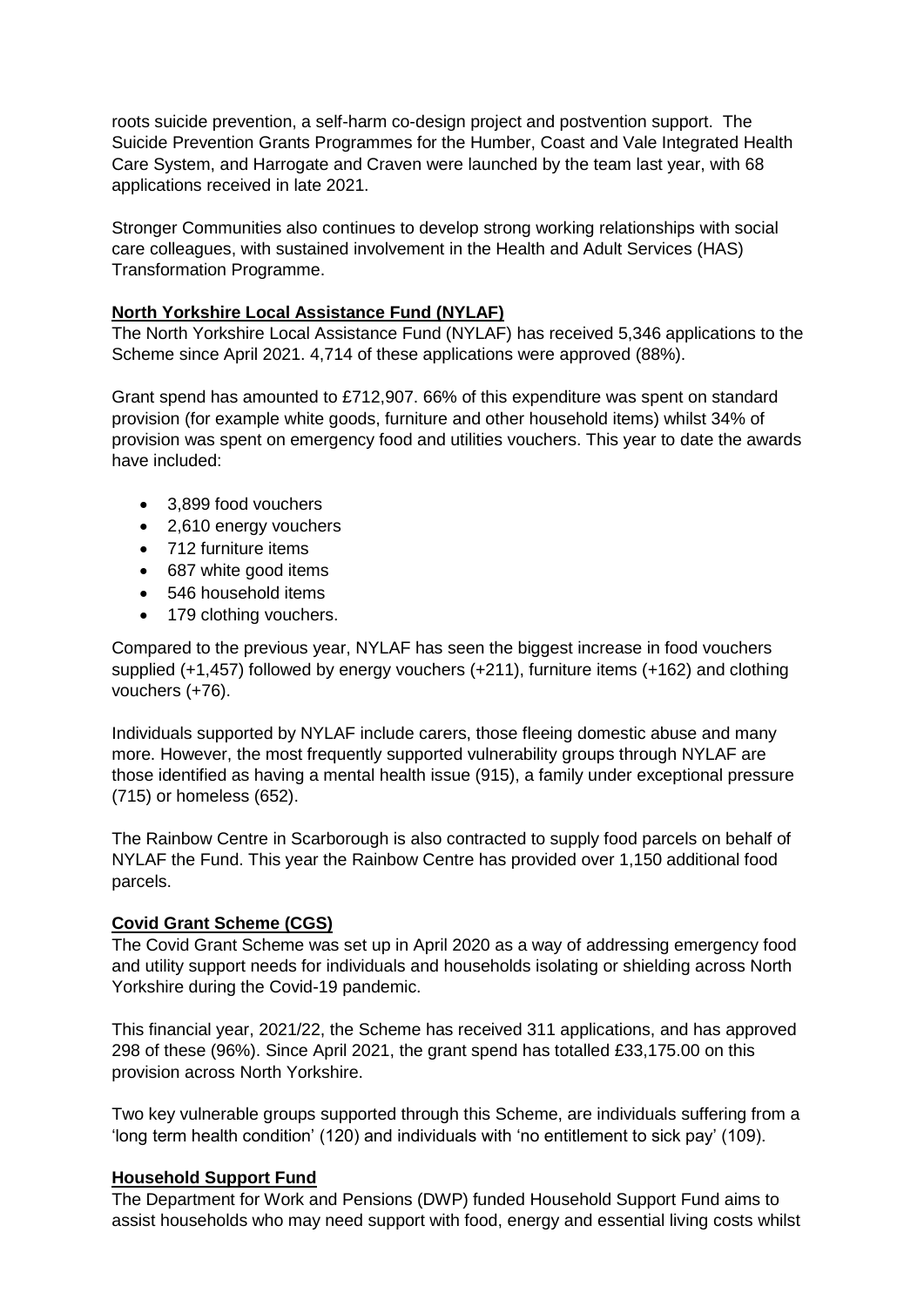roots suicide prevention, a self-harm co-design project and postvention support. The Suicide Prevention Grants Programmes for the Humber, Coast and Vale Integrated Health Care System, and Harrogate and Craven were launched by the team last year, with 68 applications received in late 2021.

Stronger Communities also continues to develop strong working relationships with social care colleagues, with sustained involvement in the Health and Adult Services (HAS) Transformation Programme.

# **North Yorkshire Local Assistance Fund (NYLAF)**

The North Yorkshire Local Assistance Fund (NYLAF) has received 5,346 applications to the Scheme since April 2021. 4,714 of these applications were approved (88%).

Grant spend has amounted to £712,907. 66% of this expenditure was spent on standard provision (for example white goods, furniture and other household items) whilst 34% of provision was spent on emergency food and utilities vouchers. This year to date the awards have included:

- 3.899 food vouchers
- 2.610 energy vouchers
- 712 furniture items
- 687 white good items
- 546 household items
- 179 clothing vouchers.

Compared to the previous year, NYLAF has seen the biggest increase in food vouchers supplied (+1,457) followed by energy vouchers (+211), furniture items (+162) and clothing vouchers (+76).

Individuals supported by NYLAF include carers, those fleeing domestic abuse and many more. However, the most frequently supported vulnerability groups through NYLAF are those identified as having a mental health issue (915), a family under exceptional pressure (715) or homeless (652).

The Rainbow Centre in Scarborough is also contracted to supply food parcels on behalf of NYLAF the Fund. This year the Rainbow Centre has provided over 1,150 additional food parcels.

### **Covid Grant Scheme (CGS)**

The Covid Grant Scheme was set up in April 2020 as a way of addressing emergency food and utility support needs for individuals and households isolating or shielding across North Yorkshire during the Covid-19 pandemic.

This financial year, 2021/22, the Scheme has received 311 applications, and has approved 298 of these (96%). Since April 2021, the grant spend has totalled £33,175.00 on this provision across North Yorkshire.

Two key vulnerable groups supported through this Scheme, are individuals suffering from a 'long term health condition' (120) and individuals with 'no entitlement to sick pay' (109).

### **Household Support Fund**

The Department for Work and Pensions (DWP) funded Household Support Fund aims to assist households who may need support with food, energy and essential living costs whilst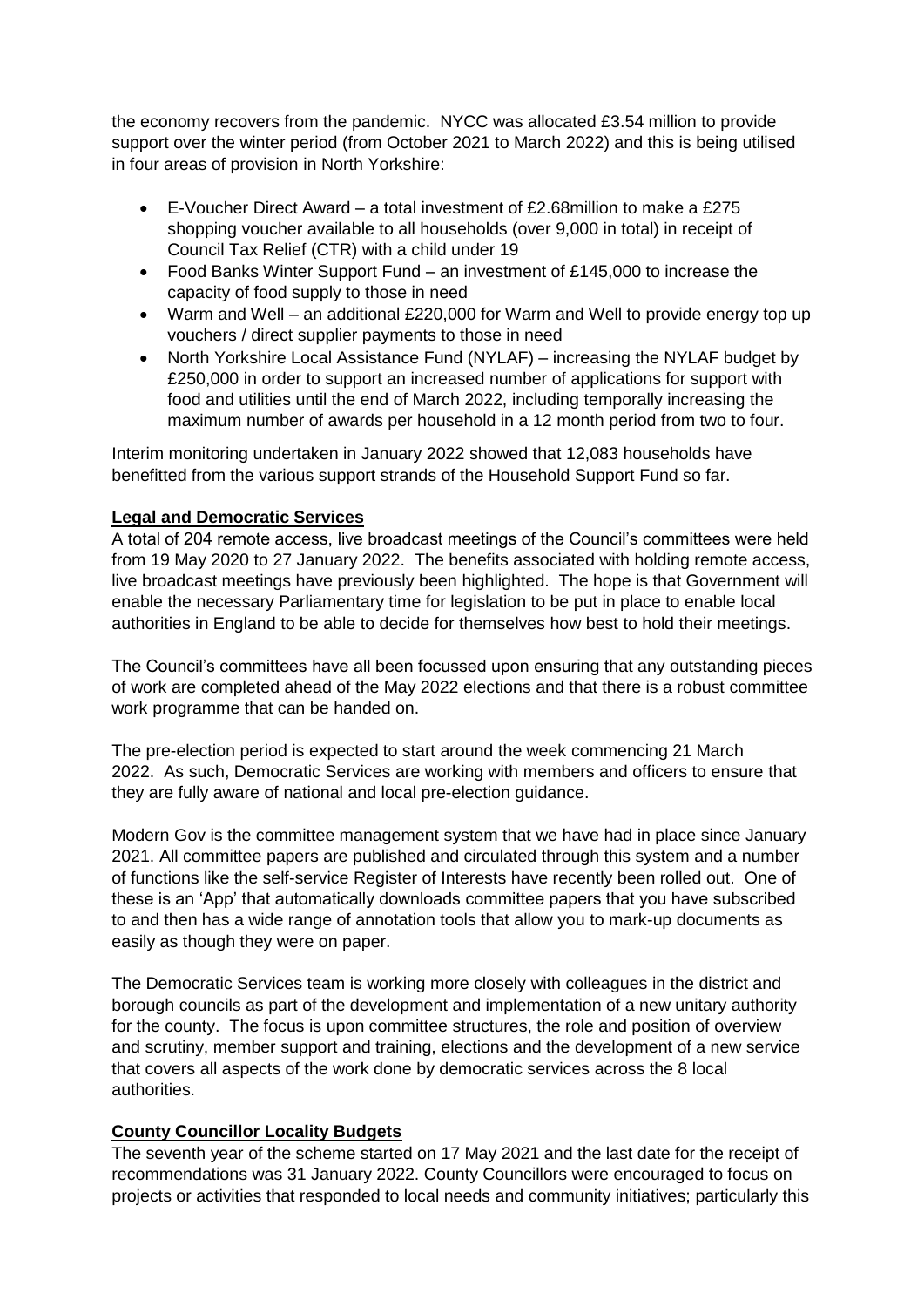the economy recovers from the pandemic. NYCC was allocated £3.54 million to provide support over the winter period (from October 2021 to March 2022) and this is being utilised in four areas of provision in North Yorkshire:

- E-Voucher Direct Award a total investment of £2.68million to make a £275 shopping voucher available to all households (over 9,000 in total) in receipt of Council Tax Relief (CTR) with a child under 19
- Food Banks Winter Support Fund an investment of £145,000 to increase the capacity of food supply to those in need
- Warm and Well an additional £220,000 for Warm and Well to provide energy top up vouchers / direct supplier payments to those in need
- North Yorkshire Local Assistance Fund (NYLAF) increasing the NYLAF budget by £250,000 in order to support an increased number of applications for support with food and utilities until the end of March 2022, including temporally increasing the maximum number of awards per household in a 12 month period from two to four.

Interim monitoring undertaken in January 2022 showed that 12,083 households have benefitted from the various support strands of the Household Support Fund so far.

# **Legal and Democratic Services**

A total of 204 remote access, live broadcast meetings of the Council's committees were held from 19 May 2020 to 27 January 2022. The benefits associated with holding remote access, live broadcast meetings have previously been highlighted. The hope is that Government will enable the necessary Parliamentary time for legislation to be put in place to enable local authorities in England to be able to decide for themselves how best to hold their meetings.

The Council's committees have all been focussed upon ensuring that any outstanding pieces of work are completed ahead of the May 2022 elections and that there is a robust committee work programme that can be handed on.

The pre-election period is expected to start around the week commencing 21 March 2022. As such, Democratic Services are working with members and officers to ensure that they are fully aware of national and local pre-election guidance.

Modern Gov is the committee management system that we have had in place since January 2021. All committee papers are published and circulated through this system and a number of functions like the self-service Register of Interests have recently been rolled out. One of these is an 'App' that automatically downloads committee papers that you have subscribed to and then has a wide range of annotation tools that allow you to mark-up documents as easily as though they were on paper.

The Democratic Services team is working more closely with colleagues in the district and borough councils as part of the development and implementation of a new unitary authority for the county. The focus is upon committee structures, the role and position of overview and scrutiny, member support and training, elections and the development of a new service that covers all aspects of the work done by democratic services across the 8 local authorities.

### **County Councillor Locality Budgets**

The seventh year of the scheme started on 17 May 2021 and the last date for the receipt of recommendations was 31 January 2022. County Councillors were encouraged to focus on projects or activities that responded to local needs and community initiatives; particularly this